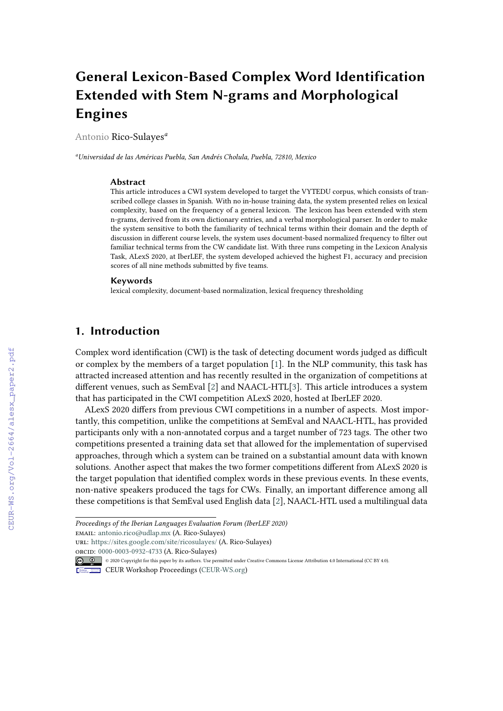# **General Lexicon-Based Complex Word Identification Extended with Stem N-grams and Morphological Engines**

Antonio Rico-Sulayes*<sup>a</sup>*

*<sup>a</sup>Universidad de las Américas Puebla, San Andrés Cholula, Puebla, 72810, Mexico*

#### **Abstract**

This article introduces a CWI system developed to target the VYTEDU corpus, which consists of transcribed college classes in Spanish. With no in-house training data, the system presented relies on lexical complexity, based on the frequency of a general lexicon. The lexicon has been extended with stem n-grams, derived from its own dictionary entries, and a verbal morphological parser. In order to make the system sensitive to both the familiarity of technical terms within their domain and the depth of discussion in different course levels, the system uses document-based normalized frequency to filter out familiar technical terms from the CW candidate list. With three runs competing in the Lexicon Analysis Task, ALexS 2020, at IberLEF, the system developed achieved the highest F1, accuracy and precision scores of all nine methods submitted by five teams.

#### **Keywords**

lexical complexity, document-based normalization, lexical frequency thresholding

## **1. Introduction**

Complex word identification (CWI) is the task of detecting document words judged as difficult or complex by the members of a target population [\[1\]](#page--1-0). In the NLP community, this task has attracted increased attention and has recently resulted in the organization of competitions at different venues, such as SemEval [\[2\]](#page--1-1) and NAACL-HTL[\[3\]](#page--1-2). This article introduces a system that has participated in the CWI competition ALexS 2020, hosted at IberLEF 2020.

ALexS 2020 differs from previous CWI competitions in a number of aspects. Most importantly, this competition, unlike the competitions at SemEval and NAACL-HTL, has provided participants only with a non-annotated corpus and a target number of 723 tags. The other two competitions presented a training data set that allowed for the implementation of supervised approaches, through which a system can be trained on a substantial amount data with known solutions. Another aspect that makes the two former competitions different from ALexS 2020 is the target population that identified complex words in these previous events. In these events, non-native speakers produced the tags for CWs. Finally, an important difference among all these competitions is that SemEval used English data [\[2\]](#page--1-1), NAACL-HTL used a multilingual data

*Proceedings of the Iberian Languages Evaluation Forum (IberLEF 2020)* email: [antonio.rico@udlap.mx](mailto:antonio.rico@udlap.mx) (A. Rico-Sulayes) url: <https://sites.google.com/site/ricosulayes/> (A. Rico-Sulayes)

orcid: [0000-0003-0932-4733](https://orcid.org/0000-0003-0932-4733) (A. Rico-Sulayes)

<sup>© 2020</sup> Copyright for this paper by its authors. Use permitted under Creative Commons License Attribution 4.0 International (CC BY 4.0).

CEUR Workshop [Proceedings](http://ceur-ws.org) [\(CEUR-WS.org\)](http://ceur-ws.org)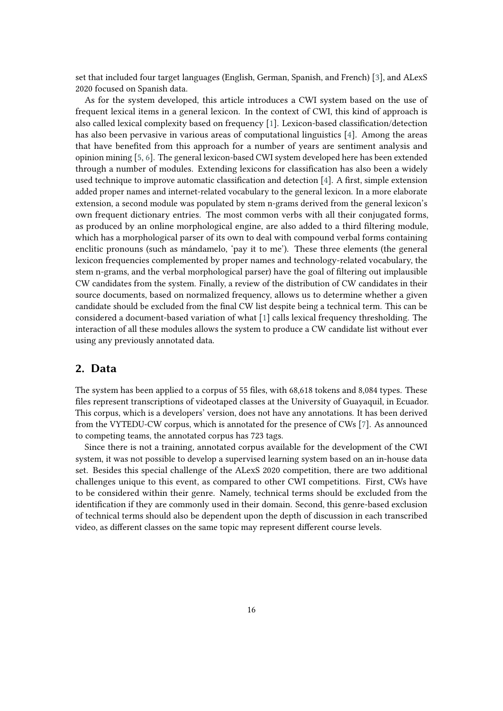set that included four target languages (English, German, Spanish, and French) [\[3\]](#page-7-0), and ALexS 2020 focused on Spanish data.

As for the system developed, this article introduces a CWI system based on the use of frequent lexical items in a general lexicon. In the context of CWI, this kind of approach is also called lexical complexity based on frequency [\[1\]](#page-7-1). Lexicon-based classification/detection has also been pervasive in various areas of computational linguistics [\[4\]](#page-7-2). Among the areas that have benefited from this approach for a number of years are sentiment analysis and opinion mining [\[5,](#page-7-3) [6\]](#page-7-4). The general lexicon-based CWI system developed here has been extended through a number of modules. Extending lexicons for classification has also been a widely used technique to improve automatic classification and detection [\[4\]](#page-7-2). A first, simple extension added proper names and internet-related vocabulary to the general lexicon. In a more elaborate extension, a second module was populated by stem n-grams derived from the general lexicon's own frequent dictionary entries. The most common verbs with all their conjugated forms, as produced by an online morphological engine, are also added to a third filtering module, which has a morphological parser of its own to deal with compound verbal forms containing enclitic pronouns (such as mándamelo, 'pay it to me'). These three elements (the general lexicon frequencies complemented by proper names and technology-related vocabulary, the stem n-grams, and the verbal morphological parser) have the goal of filtering out implausible CW candidates from the system. Finally, a review of the distribution of CW candidates in their source documents, based on normalized frequency, allows us to determine whether a given candidate should be excluded from the final CW list despite being a technical term. This can be considered a document-based variation of what [\[1\]](#page-7-1) calls lexical frequency thresholding. The interaction of all these modules allows the system to produce a CW candidate list without ever using any previously annotated data.

## **2. Data**

The system has been applied to a corpus of 55 files, with 68,618 tokens and 8,084 types. These files represent transcriptions of videotaped classes at the University of Guayaquil, in Ecuador. This corpus, which is a developers' version, does not have any annotations. It has been derived from the VYTEDU-CW corpus, which is annotated for the presence of CWs [\[7\]](#page-7-5). As announced to competing teams, the annotated corpus has 723 tags.

Since there is not a training, annotated corpus available for the development of the CWI system, it was not possible to develop a supervised learning system based on an in-house data set. Besides this special challenge of the ALexS 2020 competition, there are two additional challenges unique to this event, as compared to other CWI competitions. First, CWs have to be considered within their genre. Namely, technical terms should be excluded from the identification if they are commonly used in their domain. Second, this genre-based exclusion of technical terms should also be dependent upon the depth of discussion in each transcribed video, as different classes on the same topic may represent different course levels.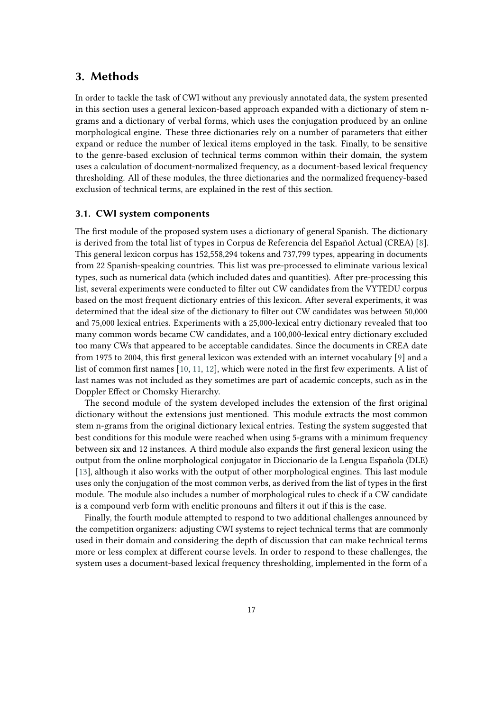## **3. Methods**

In order to tackle the task of CWI without any previously annotated data, the system presented in this section uses a general lexicon-based approach expanded with a dictionary of stem ngrams and a dictionary of verbal forms, which uses the conjugation produced by an online morphological engine. These three dictionaries rely on a number of parameters that either expand or reduce the number of lexical items employed in the task. Finally, to be sensitive to the genre-based exclusion of technical terms common within their domain, the system uses a calculation of document-normalized frequency, as a document-based lexical frequency thresholding. All of these modules, the three dictionaries and the normalized frequency-based exclusion of technical terms, are explained in the rest of this section.

#### **3.1. CWI system components**

The first module of the proposed system uses a dictionary of general Spanish. The dictionary is derived from the total list of types in Corpus de Referencia del Español Actual (CREA) [\[8\]](#page-7-6). This general lexicon corpus has 152,558,294 tokens and 737,799 types, appearing in documents from 22 Spanish-speaking countries. This list was pre-processed to eliminate various lexical types, such as numerical data (which included dates and quantities). After pre-processing this list, several experiments were conducted to filter out CW candidates from the VYTEDU corpus based on the most frequent dictionary entries of this lexicon. After several experiments, it was determined that the ideal size of the dictionary to filter out CW candidates was between 50,000 and 75,000 lexical entries. Experiments with a 25,000-lexical entry dictionary revealed that too many common words became CW candidates, and a 100,000-lexical entry dictionary excluded too many CWs that appeared to be acceptable candidates. Since the documents in CREA date from 1975 to 2004, this first general lexicon was extended with an internet vocabulary [\[9\]](#page-7-7) and a list of common first names [\[10,](#page-7-8) [11,](#page-7-9) [12\]](#page-7-10), which were noted in the first few experiments. A list of last names was not included as they sometimes are part of academic concepts, such as in the Doppler Effect or Chomsky Hierarchy.

The second module of the system developed includes the extension of the first original dictionary without the extensions just mentioned. This module extracts the most common stem n-grams from the original dictionary lexical entries. Testing the system suggested that best conditions for this module were reached when using 5-grams with a minimum frequency between six and 12 instances. A third module also expands the first general lexicon using the output from the online morphological conjugator in Diccionario de la Lengua Española (DLE) [\[13\]](#page-7-11), although it also works with the output of other morphological engines. This last module uses only the conjugation of the most common verbs, as derived from the list of types in the first module. The module also includes a number of morphological rules to check if a CW candidate is a compound verb form with enclitic pronouns and filters it out if this is the case.

Finally, the fourth module attempted to respond to two additional challenges announced by the competition organizers: adjusting CWI systems to reject technical terms that are commonly used in their domain and considering the depth of discussion that can make technical terms more or less complex at different course levels. In order to respond to these challenges, the system uses a document-based lexical frequency thresholding, implemented in the form of a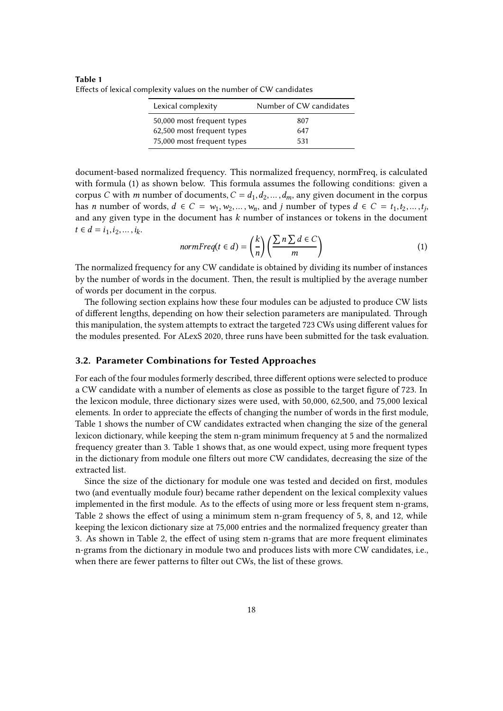**Table 1** Effects of lexical complexity values on the number of CW candidates

| Lexical complexity         | Number of CW candidates |
|----------------------------|-------------------------|
| 50,000 most frequent types | 807                     |
| 62,500 most frequent types | 647                     |
| 75,000 most frequent types | 531                     |

document-based normalized frequency. This normalized frequency, normFreq, is calculated with formula (1) as shown below. This formula assumes the following conditions: given a corpus *C* with *m* number of documents,  $C = d_1, d_2, ..., d_m$ , any given document in the corpus has *n* number of words,  $d \in C = w_1, w_2, ..., w_n$ , and *j* number of types  $d \in C = t_1, t_2, ..., t_j$ , and any given type in the document has *k* number of instances or tokens in the document  $t \in d = i_1, i_2, \dots, i_k.$ 

$$
normFreq(t \in d) = \left(\frac{k}{n}\right) \left(\frac{\sum n \sum d \in C}{m}\right) \tag{1}
$$

The normalized frequency for any CW candidate is obtained by dividing its number of instances by the number of words in the document. Then, the result is multiplied by the average number of words per document in the corpus.

The following section explains how these four modules can be adjusted to produce CW lists of different lengths, depending on how their selection parameters are manipulated. Through this manipulation, the system attempts to extract the targeted 723 CWs using different values for the modules presented. For ALexS 2020, three runs have been submitted for the task evaluation.

#### **3.2. Parameter Combinations for Tested Approaches**

For each of the four modules formerly described, three different options were selected to produce a CW candidate with a number of elements as close as possible to the target figure of 723. In the lexicon module, three dictionary sizes were used, with 50,000, 62,500, and 75,000 lexical elements. In order to appreciate the effects of changing the number of words in the first module, Table 1 shows the number of CW candidates extracted when changing the size of the general lexicon dictionary, while keeping the stem n-gram minimum frequency at 5 and the normalized frequency greater than 3. Table 1 shows that, as one would expect, using more frequent types in the dictionary from module one filters out more CW candidates, decreasing the size of the extracted list.

Since the size of the dictionary for module one was tested and decided on first, modules two (and eventually module four) became rather dependent on the lexical complexity values implemented in the first module. As to the effects of using more or less frequent stem n-grams, Table 2 shows the effect of using a minimum stem n-gram frequency of 5, 8, and 12, while keeping the lexicon dictionary size at 75,000 entries and the normalized frequency greater than 3. As shown in Table 2, the effect of using stem n-grams that are more frequent eliminates n-grams from the dictionary in module two and produces lists with more CW candidates, i.e., when there are fewer patterns to filter out CWs, the list of these grows.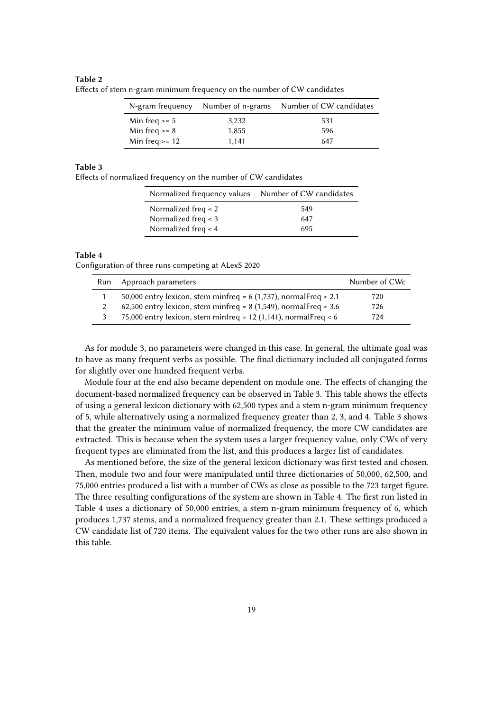#### **Table 2**

| N-gram frequency |       | Number of n-grams Number of CW candidates |
|------------------|-------|-------------------------------------------|
| Min freq $>= 5$  | 3,232 | 531                                       |
| Min freq $>= 8$  | 1,855 | 596                                       |
| Min freq $>= 12$ | 1.141 | 647                                       |

Effects of stem n-gram minimum frequency on the number of CW candidates

#### **Table 3**

Effects of normalized frequency on the number of CW candidates

| Normalized frequency values Number of CW candidates |     |
|-----------------------------------------------------|-----|
| Normalized freq $\lt$ 2                             | 549 |
| Normalized freq $<$ 3                               | 647 |
| Normalized freq $\lt$ 4                             | 695 |

#### **Table 4**

Configuration of three runs competing at ALexS 2020

| Run | Approach parameters                                                | Number of CWc |
|-----|--------------------------------------------------------------------|---------------|
|     | 50,000 entry lexicon, stem minfreq = $6(1,737)$ , normalFreq < 2.1 | 720           |
|     | 62,500 entry lexicon, stem minfreq = $8(1,549)$ , normalFreq < 3.6 | 726           |
| 3   | 75,000 entry lexicon, stem minfreq = 12 (1,141), normalFreq < 6    | 724           |

As for module 3, no parameters were changed in this case. In general, the ultimate goal was to have as many frequent verbs as possible. The final dictionary included all conjugated forms for slightly over one hundred frequent verbs.

Module four at the end also became dependent on module one. The effects of changing the document-based normalized frequency can be observed in Table 3. This table shows the effects of using a general lexicon dictionary with 62,500 types and a stem n-gram minimum frequency of 5, while alternatively using a normalized frequency greater than 2, 3, and 4. Table 3 shows that the greater the minimum value of normalized frequency, the more CW candidates are extracted. This is because when the system uses a larger frequency value, only CWs of very frequent types are eliminated from the list, and this produces a larger list of candidates.

As mentioned before, the size of the general lexicon dictionary was first tested and chosen. Then, module two and four were manipulated until three dictionaries of 50,000, 62,500, and 75,000 entries produced a list with a number of CWs as close as possible to the 723 target figure. The three resulting configurations of the system are shown in Table 4. The first run listed in Table 4 uses a dictionary of 50,000 entries, a stem n-gram minimum frequency of 6, which produces 1,737 stems, and a normalized frequency greater than 2.1. These settings produced a CW candidate list of 720 items. The equivalent values for the two other runs are also shown in this table.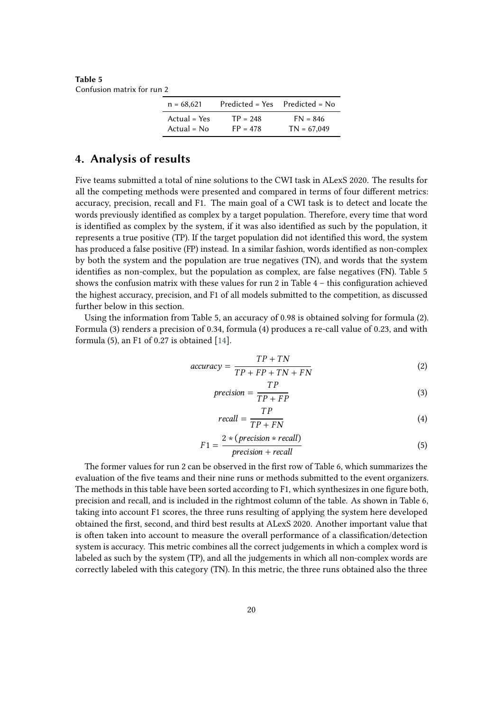**Table 5** Confusion matrix for run 2

| $n = 68,621$  | $Predicted = Yes$ | $Predicted = No$ |
|---------------|-------------------|------------------|
| Actual = Yes  | $TP = 248$        | $FN = 846$       |
| $Actual = No$ | $FP = 478$        | $TN = 67,049$    |

### **4. Analysis of results**

Five teams submitted a total of nine solutions to the CWI task in ALexS 2020. The results for all the competing methods were presented and compared in terms of four different metrics: accuracy, precision, recall and F1. The main goal of a CWI task is to detect and locate the words previously identified as complex by a target population. Therefore, every time that word is identified as complex by the system, if it was also identified as such by the population, it represents a true positive (TP). If the target population did not identified this word, the system has produced a false positive (FP) instead. In a similar fashion, words identified as non-complex by both the system and the population are true negatives (TN), and words that the system identifies as non-complex, but the population as complex, are false negatives (FN). Table 5 shows the confusion matrix with these values for run 2 in Table  $4$  – this configuration achieved the highest accuracy, precision, and F1 of all models submitted to the competition, as discussed further below in this section.

Using the information from Table 5, an accuracy of 0.98 is obtained solving for formula (2). Formula (3) renders a precision of 0.34, formula (4) produces a re-call value of 0.23, and with formula  $(5)$ , an F1 of 0.27 is obtained [\[14\]](#page-7-12).

$$
accuracy = \frac{TP + TN}{TP + FP + TN + FN}
$$
 (2)

$$
precision = \frac{TP}{TP + FP}
$$
 (3)

$$
recall = \frac{TP}{TP + FN} \tag{4}
$$

$$
F1 = \frac{2 * (precision * recall)}{precision + recall}
$$
 (5)

The former values for run 2 can be observed in the first row of Table 6, which summarizes the evaluation of the five teams and their nine runs or methods submitted to the event organizers. The methods in this table have been sorted according to F1, which synthesizes in one figure both, precision and recall, and is included in the rightmost column of the table. As shown in Table 6, taking into account F1 scores, the three runs resulting of applying the system here developed obtained the first, second, and third best results at ALexS 2020. Another important value that is often taken into account to measure the overall performance of a classification/detection system is accuracy. This metric combines all the correct judgements in which a complex word is labeled as such by the system (TP), and all the judgements in which all non-complex words are correctly labeled with this category (TN). In this metric, the three runs obtained also the three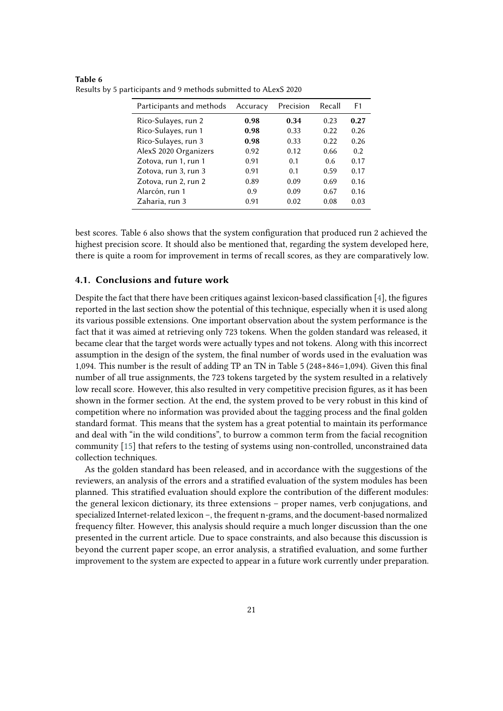| Participants and methods | Accuracy | Precision | Recall | F <sub>1</sub> |
|--------------------------|----------|-----------|--------|----------------|
| Rico-Sulayes, run 2      | 0.98     | 0.34      | 0.23   | 0.27           |
| Rico-Sulayes, run 1      | 0.98     | 0.33      | 0.22   | 0.26           |
| Rico-Sulayes, run 3      | 0.98     | 0.33      | 0.22   | 0.26           |
| AlexS 2020 Organizers    | 0.92     | 0.12      | 0.66   | 0.2            |
| Zotova, run 1, run 1     | 0.91     | 0.1       | 0.6    | 0.17           |
| Zotova, run 3, run 3     | 0.91     | 0.1       | 0.59   | 0.17           |
| Zotova, run 2, run 2     | 0.89     | 0.09      | 0.69   | 0.16           |
| Alarcón, run 1           | 0.9      | 0.09      | 0.67   | 0.16           |
| Zaharia, run 3           | 0.91     | 0.02      | 0.08   | 0.03           |

**Table 6** Results by 5 participants and 9 methods submitted to ALexS 2020

best scores. Table 6 also shows that the system configuration that produced run 2 achieved the highest precision score. It should also be mentioned that, regarding the system developed here, there is quite a room for improvement in terms of recall scores, as they are comparatively low.

#### **4.1. Conclusions and future work**

Despite the fact that there have been critiques against lexicon-based classification [\[4\]](#page-7-2), the figures reported in the last section show the potential of this technique, especially when it is used along its various possible extensions. One important observation about the system performance is the fact that it was aimed at retrieving only 723 tokens. When the golden standard was released, it became clear that the target words were actually types and not tokens. Along with this incorrect assumption in the design of the system, the final number of words used in the evaluation was 1,094. This number is the result of adding TP an TN in Table 5 (248+846=1,094). Given this final number of all true assignments, the 723 tokens targeted by the system resulted in a relatively low recall score. However, this also resulted in very competitive precision figures, as it has been shown in the former section. At the end, the system proved to be very robust in this kind of competition where no information was provided about the tagging process and the final golden standard format. This means that the system has a great potential to maintain its performance and deal with "in the wild conditions", to burrow a common term from the facial recognition community [\[15\]](#page-8-0) that refers to the testing of systems using non-controlled, unconstrained data collection techniques.

As the golden standard has been released, and in accordance with the suggestions of the reviewers, an analysis of the errors and a stratified evaluation of the system modules has been planned. This stratified evaluation should explore the contribution of the different modules: the general lexicon dictionary, its three extensions – proper names, verb conjugations, and specialized Internet-related lexicon –, the frequent n-grams, and the document-based normalized frequency filter. However, this analysis should require a much longer discussion than the one presented in the current article. Due to space constraints, and also because this discussion is beyond the current paper scope, an error analysis, a stratified evaluation, and some further improvement to the system are expected to appear in a future work currently under preparation.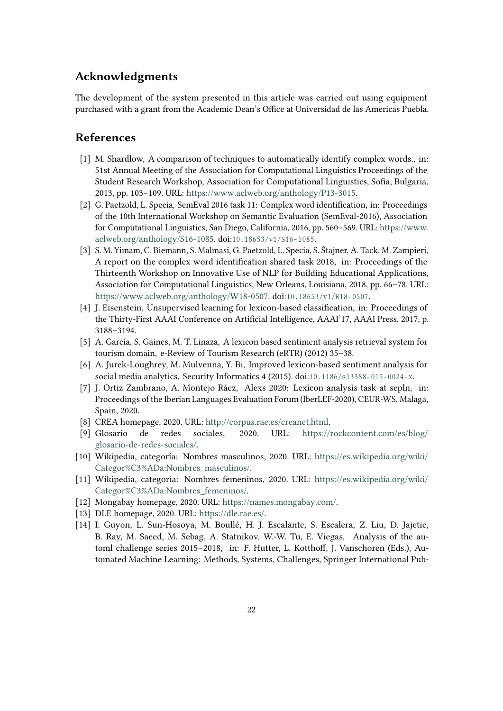## **Acknowledgments**

The development of the system presented in this article was carried out using equipment purchased with a grant from the Academic Dean's Office at Universidad de las Americas Puebla.

## **References**

- <span id="page-7-1"></span>[1] M. Shardlow, A comparison of techniques to automatically identify complex words., in: 51st Annual Meeting of the Association for Computational Linguistics Proceedings of the Student Research Workshop, Association for Computational Linguistics, Sofia, Bulgaria, 2013, pp. 103–109. URL: [https://www.aclweb.org/anthology/P13-3015.](https://www.aclweb.org/anthology/P13-3015)
- [2] G. Paetzold, L. Specia, SemEval 2016 task 11: Complex word identification, in: Proceedings of the 10th International Workshop on Semantic Evaluation (SemEval-2016), Association for Computational Linguistics, San Diego, California, 2016, pp. 560–569. URL: [https://www.](https://www.aclweb.org/anthology/S16-1085) [aclweb.org/anthology/S16-1085.](https://www.aclweb.org/anthology/S16-1085) doi:10.18653/v1/S16-1085.
- <span id="page-7-0"></span>[3] S. M. Yimam, C. Biemann, S. Malmasi, G. Paetzold, L. Specia, S. Štajner, A. Tack, M. Zampieri, A report on the complex word identification shared task 2018, in: Proceedings of the Thirteenth Workshop on Innovative Use of NLP for Building Educational Applications, Association for Computational Linguistics, New Orleans, Louisiana, 2018, pp. 66–78. URL: [https://www.aclweb.org/anthology/W18-0507.](https://www.aclweb.org/anthology/W18-0507) doi:10.18653/v1/W18-0507.
- <span id="page-7-2"></span>[4] J. Eisenstein, Unsupervised learning for lexicon-based classification, in: Proceedings of the Thirty-First AAAI Conference on Artificial Intelligence, AAAI'17, AAAI Press, 2017, p. 3188–3194.
- <span id="page-7-3"></span>[5] A. García, S. Gaines, M. T. Linaza, A lexicon based sentiment analysis retrieval system for tourism domain, e-Review of Tourism Research (eRTR) (2012) 35–38.
- <span id="page-7-4"></span>[6] A. Jurek-Loughrey, M. Mulvenna, Y. Bi, Improved lexicon-based sentiment analysis for social media analytics, Security Informatics 4 (2015). doi:10.1186/s13388-015-0024-x.
- <span id="page-7-5"></span>[7] J. Ortiz Zambrano, A. Montejo Ráez, Alexs 2020: Lexicon analysis task at sepln, in: Proceedings of the Iberian Languages Evaluation Forum (IberLEF-2020), CEUR-WS, Malaga, Spain, 2020.
- <span id="page-7-6"></span>[8] CREA homepage, 2020. URL: [http://corpus.rae.es/creanet.html.](http://corpus.rae.es/creanet.html)
- <span id="page-7-7"></span>[9] Glosario de redes sociales, 2020. URL: [https://rockcontent.com/es/blog/](https://rockcontent.com/es/blog/glosario-de-redes-sociales/) [glosario-de-redes-sociales/.](https://rockcontent.com/es/blog/glosario-de-redes-sociales/)
- <span id="page-7-8"></span>[10] Wikipedia, categoría: Nombres masculinos, 2020. URL: [https://es.wikipedia.org/wiki/](https://es.wikipedia.org/wiki/Categor%C3%ADa:Nombres_masculinos/) [Categor%C3%ADa:Nombres\\_masculinos/.](https://es.wikipedia.org/wiki/Categor%C3%ADa:Nombres_masculinos/)
- <span id="page-7-9"></span>[11] Wikipedia, categoría: Nombres femeninos, 2020. URL: [https://es.wikipedia.org/wiki/](https://es.wikipedia.org/wiki/Categor%C3%ADa:Nombres_femeninos/) [Categor%C3%ADa:Nombres\\_femeninos/.](https://es.wikipedia.org/wiki/Categor%C3%ADa:Nombres_femeninos/)
- <span id="page-7-10"></span>[12] Mongabay homepage, 2020. URL: [https://names.mongabay.com/.](https://names.mongabay.com/)
- <span id="page-7-11"></span>[13] DLE homepage, 2020. URL: [https://dle.rae.es/.](https://dle.rae.es/)
- <span id="page-7-12"></span>[14] I. Guyon, L. Sun-Hosoya, M. Boullé, H. J. Escalante, S. Escalera, Z. Liu, D. Jajetic, B. Ray, M. Saeed, M. Sebag, A. Statnikov, W.-W. Tu, E. Viegas, Analysis of the automl challenge series 2015–2018, in: F. Hutter, L. Kotthoff, J. Vanschoren (Eds.), Automated Machine Learning: Methods, Systems, Challenges, Springer International Pub-